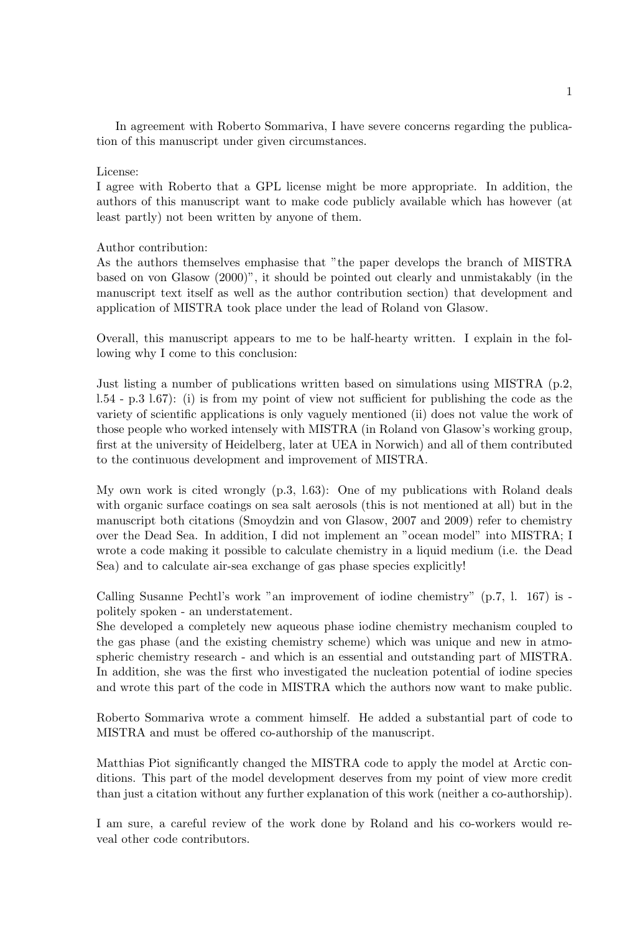In agreement with Roberto Sommariva, I have severe concerns regarding the publication of this manuscript under given circumstances.

## License:

I agree with Roberto that a GPL license might be more appropriate. In addition, the authors of this manuscript want to make code publicly available which has however (at least partly) not been written by anyone of them.

## Author contribution:

As the authors themselves emphasise that "the paper develops the branch of MISTRA based on von Glasow (2000)", it should be pointed out clearly and unmistakably (in the manuscript text itself as well as the author contribution section) that development and application of MISTRA took place under the lead of Roland von Glasow.

Overall, this manuscript appears to me to be half-hearty written. I explain in the following why I come to this conclusion:

Just listing a number of publications written based on simulations using MISTRA (p.2, l.54 - p.3 l.67): (i) is from my point of view not sufficient for publishing the code as the variety of scientific applications is only vaguely mentioned (ii) does not value the work of those people who worked intensely with MISTRA (in Roland von Glasow's working group, first at the university of Heidelberg, later at UEA in Norwich) and all of them contributed to the continuous development and improvement of MISTRA.

My own work is cited wrongly (p.3, l.63): One of my publications with Roland deals with organic surface coatings on sea salt aerosols (this is not mentioned at all) but in the manuscript both citations (Smoydzin and von Glasow, 2007 and 2009) refer to chemistry over the Dead Sea. In addition, I did not implement an "ocean model" into MISTRA; I wrote a code making it possible to calculate chemistry in a liquid medium (i.e. the Dead Sea) and to calculate air-sea exchange of gas phase species explicitly!

Calling Susanne Pechtl's work "an improvement of iodine chemistry" (p.7, l. 167) is politely spoken - an understatement.

She developed a completely new aqueous phase iodine chemistry mechanism coupled to the gas phase (and the existing chemistry scheme) which was unique and new in atmospheric chemistry research - and which is an essential and outstanding part of MISTRA. In addition, she was the first who investigated the nucleation potential of iodine species and wrote this part of the code in MISTRA which the authors now want to make public.

Roberto Sommariva wrote a comment himself. He added a substantial part of code to MISTRA and must be offered co-authorship of the manuscript.

Matthias Piot significantly changed the MISTRA code to apply the model at Arctic conditions. This part of the model development deserves from my point of view more credit than just a citation without any further explanation of this work (neither a co-authorship).

I am sure, a careful review of the work done by Roland and his co-workers would reveal other code contributors.